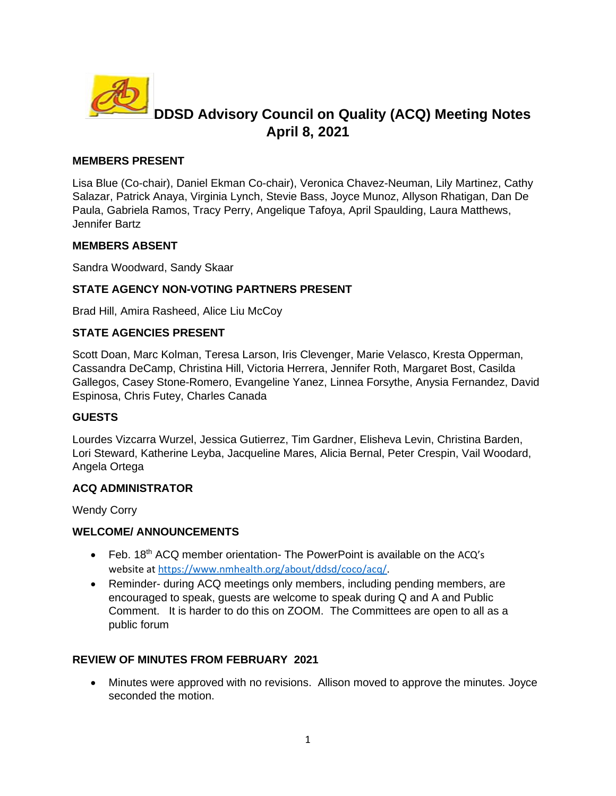

# **DDSD Advisory Council on Quality (ACQ) Meeting Notes April 8, 2021**

#### **MEMBERS PRESENT**

Lisa Blue (Co-chair), Daniel Ekman Co-chair), Veronica Chavez-Neuman, Lily Martinez, Cathy Salazar, Patrick Anaya, Virginia Lynch, Stevie Bass, Joyce Munoz, Allyson Rhatigan, Dan De Paula, Gabriela Ramos, Tracy Perry, Angelique Tafoya, April Spaulding, Laura Matthews, Jennifer Bartz

#### **MEMBERS ABSENT**

Sandra Woodward, Sandy Skaar

### **STATE AGENCY NON-VOTING PARTNERS PRESENT**

Brad Hill, Amira Rasheed, Alice Liu McCoy

### **STATE AGENCIES PRESENT**

Scott Doan, Marc Kolman, Teresa Larson, Iris Clevenger, Marie Velasco, Kresta Opperman, Cassandra DeCamp, Christina Hill, Victoria Herrera, Jennifer Roth, Margaret Bost, Casilda Gallegos, Casey Stone-Romero, Evangeline Yanez, Linnea Forsythe, Anysia Fernandez, David Espinosa, Chris Futey, Charles Canada

#### **GUESTS**

Lourdes Vizcarra Wurzel, Jessica Gutierrez, Tim Gardner, Elisheva Levin, Christina Barden, Lori Steward, Katherine Leyba, Jacqueline Mares, Alicia Bernal, Peter Crespin, Vail Woodard, Angela Ortega

#### **ACQ ADMINISTRATOR**

Wendy Corry

#### **WELCOME/ ANNOUNCEMENTS**

- Feb. 18<sup>th</sup> ACQ member orientation- The PowerPoint is available on the ACQ's website at [https://www.nmhealth.org/about/ddsd/coco/acq/.](about:blank)
- Reminder- during ACQ meetings only members, including pending members, are encouraged to speak, guests are welcome to speak during Q and A and Public Comment. It is harder to do this on ZOOM. The Committees are open to all as a public forum

#### **REVIEW OF MINUTES FROM FEBRUARY 2021**

• Minutes were approved with no revisions. Allison moved to approve the minutes. Joyce seconded the motion.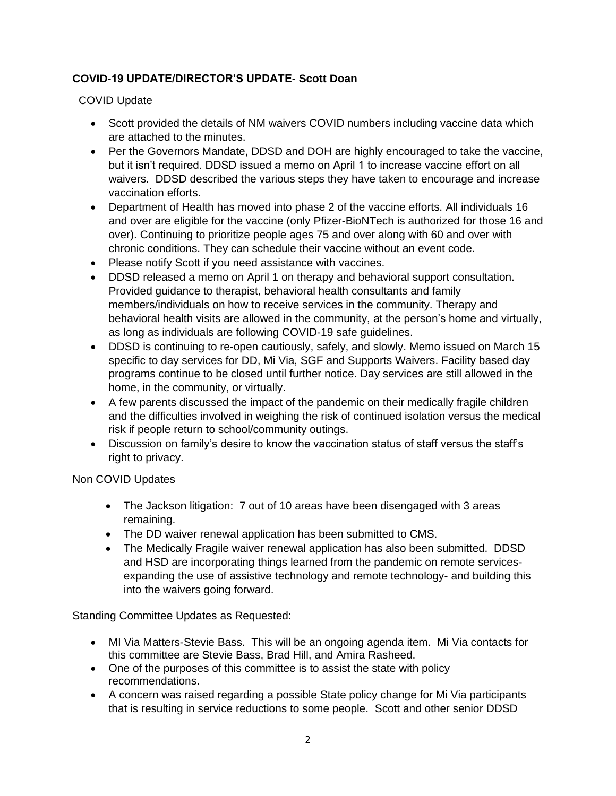## **COVID-19 UPDATE/DIRECTOR'S UPDATE- Scott Doan**

COVID Update

- Scott provided the details of NM waivers COVID numbers including vaccine data which are attached to the minutes.
- Per the Governors Mandate, DDSD and DOH are highly encouraged to take the vaccine, but it isn't required. DDSD issued a memo on April 1 to increase vaccine effort on all waivers. DDSD described the various steps they have taken to encourage and increase vaccination efforts.
- Department of Health has moved into phase 2 of the vaccine efforts. All individuals 16 and over are eligible for the vaccine (only Pfizer-BioNTech is authorized for those 16 and over). Continuing to prioritize people ages 75 and over along with 60 and over with chronic conditions. They can schedule their vaccine without an event code.
- Please notify Scott if you need assistance with vaccines.
- DDSD released a memo on April 1 on therapy and behavioral support consultation. Provided guidance to therapist, behavioral health consultants and family members/individuals on how to receive services in the community. Therapy and behavioral health visits are allowed in the community, at the person's home and virtually, as long as individuals are following COVID-19 safe guidelines.
- DDSD is continuing to re-open cautiously, safely, and slowly. Memo issued on March 15 specific to day services for DD, Mi Via, SGF and Supports Waivers. Facility based day programs continue to be closed until further notice. Day services are still allowed in the home, in the community, or virtually.
- A few parents discussed the impact of the pandemic on their medically fragile children and the difficulties involved in weighing the risk of continued isolation versus the medical risk if people return to school/community outings.
- Discussion on family's desire to know the vaccination status of staff versus the staff's right to privacy.

Non COVID Updates

- The Jackson litigation: 7 out of 10 areas have been disengaged with 3 areas remaining.
- The DD waiver renewal application has been submitted to CMS.
- The Medically Fragile waiver renewal application has also been submitted. DDSD and HSD are incorporating things learned from the pandemic on remote servicesexpanding the use of assistive technology and remote technology- and building this into the waivers going forward.

Standing Committee Updates as Requested:

- MI Via Matters-Stevie Bass. This will be an ongoing agenda item. Mi Via contacts for this committee are Stevie Bass, Brad Hill, and Amira Rasheed.
- One of the purposes of this committee is to assist the state with policy recommendations.
- A concern was raised regarding a possible State policy change for Mi Via participants that is resulting in service reductions to some people. Scott and other senior DDSD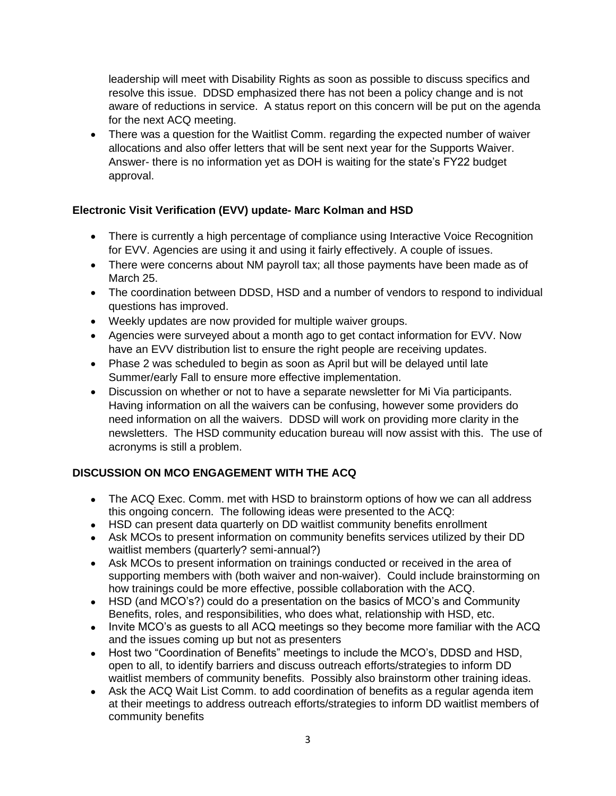leadership will meet with Disability Rights as soon as possible to discuss specifics and resolve this issue. DDSD emphasized there has not been a policy change and is not aware of reductions in service. A status report on this concern will be put on the agenda for the next ACQ meeting.

• There was a question for the Waitlist Comm. regarding the expected number of waiver allocations and also offer letters that will be sent next year for the Supports Waiver. Answer- there is no information yet as DOH is waiting for the state's FY22 budget approval.

## **Electronic Visit Verification (EVV) update- Marc Kolman and HSD**

- There is currently a high percentage of compliance using Interactive Voice Recognition for EVV. Agencies are using it and using it fairly effectively. A couple of issues.
- There were concerns about NM payroll tax; all those payments have been made as of March 25.
- The coordination between DDSD, HSD and a number of vendors to respond to individual questions has improved.
- Weekly updates are now provided for multiple waiver groups.
- Agencies were surveyed about a month ago to get contact information for EVV. Now have an EVV distribution list to ensure the right people are receiving updates.
- Phase 2 was scheduled to begin as soon as April but will be delayed until late Summer/early Fall to ensure more effective implementation.
- Discussion on whether or not to have a separate newsletter for Mi Via participants. Having information on all the waivers can be confusing, however some providers do need information on all the waivers. DDSD will work on providing more clarity in the newsletters. The HSD community education bureau will now assist with this. The use of acronyms is still a problem.

## **DISCUSSION ON MCO ENGAGEMENT WITH THE ACQ**

- The ACQ Exec. Comm. met with HSD to brainstorm options of how we can all address this ongoing concern. The following ideas were presented to the ACQ:
- HSD can present data quarterly on DD waitlist community benefits enrollment
- Ask MCOs to present information on community benefits services utilized by their DD waitlist members (quarterly? semi-annual?)
- Ask MCOs to present information on trainings conducted or received in the area of supporting members with (both waiver and non-waiver). Could include brainstorming on how trainings could be more effective, possible collaboration with the ACQ.
- HSD (and MCO's?) could do a presentation on the basics of MCO's and Community Benefits, roles, and responsibilities, who does what, relationship with HSD, etc.
- Invite MCO's as guests to all ACQ meetings so they become more familiar with the ACQ and the issues coming up but not as presenters
- Host two "Coordination of Benefits" meetings to include the MCO's, DDSD and HSD, open to all, to identify barriers and discuss outreach efforts/strategies to inform DD waitlist members of community benefits. Possibly also brainstorm other training ideas.
- Ask the ACQ Wait List Comm. to add coordination of benefits as a regular agenda item at their meetings to address outreach efforts/strategies to inform DD waitlist members of community benefits